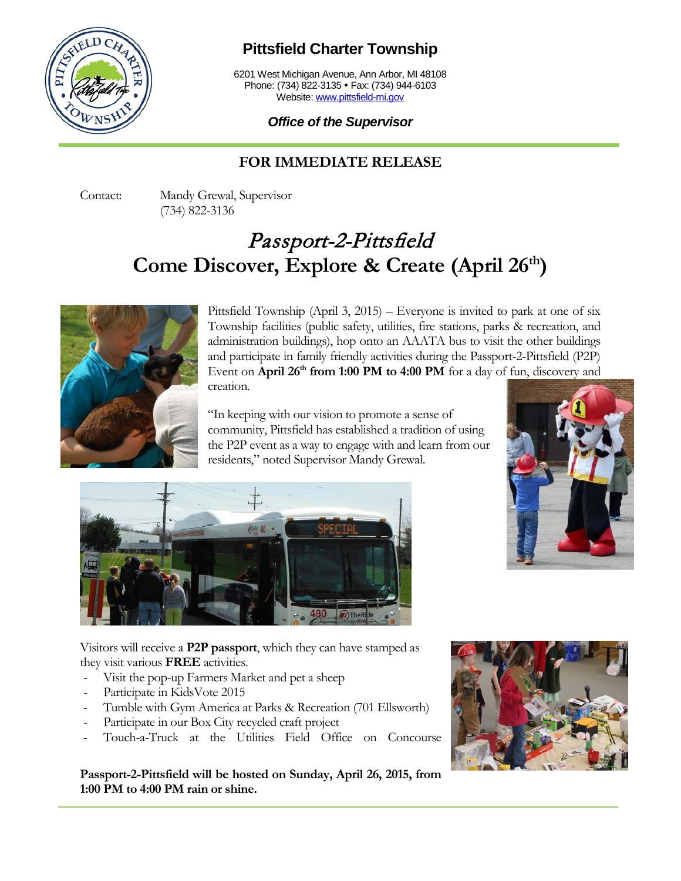

## **Pittsfield Charter Township**

6201 West Michigan Avenue, Ann Arbor, MI 48108 Phone: (734) 822-3135 · Fax: (734) 944-6103 Website: [www.pittsfield-mi.gov](http://www.pittsfield-mi.gov/)

## *Office of the Supervisor*

## **FOR IMMEDIATE RELEASE**

Contact: Mandy Grewal, Supervisor (734) 822-3136

## Passport-2-Pittsfield **Come Discover, Explore & Create (April 26th)**



Pittsfield Township (April 3, 2015) – Everyone is invited to park at one of six Township facilities (public safety, utilities, fire stations, parks & recreation, and administration buildings), hop onto an AAATA bus to visit the other buildings and participate in family friendly activities during the Passport-2-Pittsfield (P2P) Event on **April 26<sup>th</sup> from 1:00 PM to 4:00 PM** for a day of fun, discovery and creation.

"In keeping with our vision to promote a sense of community, Pittsfield has established a tradition of using the P2P event as a way to engage with and learn from our residents," noted Supervisor Mandy Grewal.





Visitors will receive a **P2P passport**, which they can have stamped as they visit various **FREE** activities.

- Visit the pop-up Farmers Market and pet a sheep
- Participate in KidsVote 2015
- Tumble with Gym America at Parks & Recreation (701 Ellsworth)
- Participate in our Box City recycled craft project
- Touch-a-Truck at the Utilities Field Office on Concourse

**Passport-2-Pittsfield will be hosted on Sunday, April 26, 2015, from 1:00 PM to 4:00 PM rain or shine.**